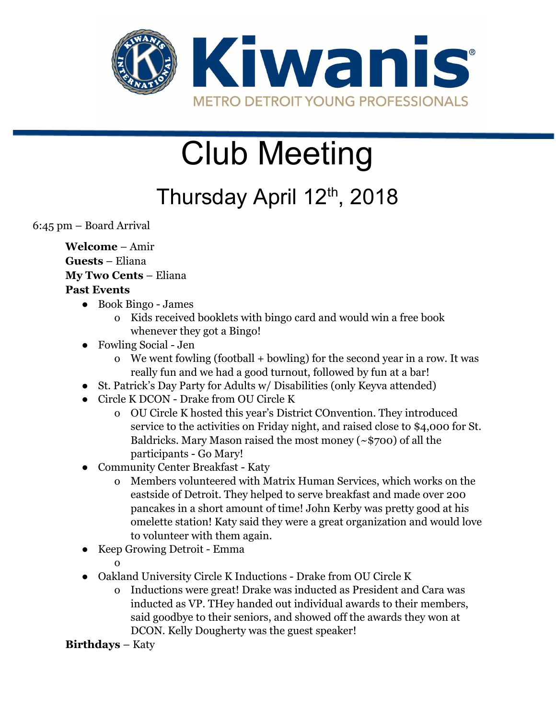

# Club Meeting

Thursday April 12<sup>th</sup>, 2018

6:45 pm – Board Arrival

**Welcome** – Amir **Guests** – Eliana **My Two Cents** – Eliana **Past Events**

- Book Bingo James
	- o Kids received booklets with bingo card and would win a free book whenever they got a Bingo!
- Fowling Social Jen
	- o We went fowling (football + bowling) for the second year in a row. It was really fun and we had a good turnout, followed by fun at a bar!
- St. Patrick's Day Party for Adults w/ Disabilities (only Keyva attended)
- Circle K DCON Drake from OU Circle K
	- o OU Circle K hosted this year's District COnvention. They introduced service to the activities on Friday night, and raised close to \$4,000 for St. Baldricks. Mary Mason raised the most money  $(\sim$ \$700) of all the participants - Go Mary!
- Community Center Breakfast Katy
	- o Members volunteered with Matrix Human Services, which works on the eastside of Detroit. They helped to serve breakfast and made over 200 pancakes in a short amount of time! John Kerby was pretty good at his omelette station! Katy said they were a great organization and would love to volunteer with them again.
- Keep Growing Detroit Emma
	- o
- Oakland University Circle K Inductions Drake from OU Circle K
	- o Inductions were great! Drake was inducted as President and Cara was inducted as VP. THey handed out individual awards to their members, said goodbye to their seniors, and showed off the awards they won at DCON. Kelly Dougherty was the guest speaker!

**Birthdays** – Katy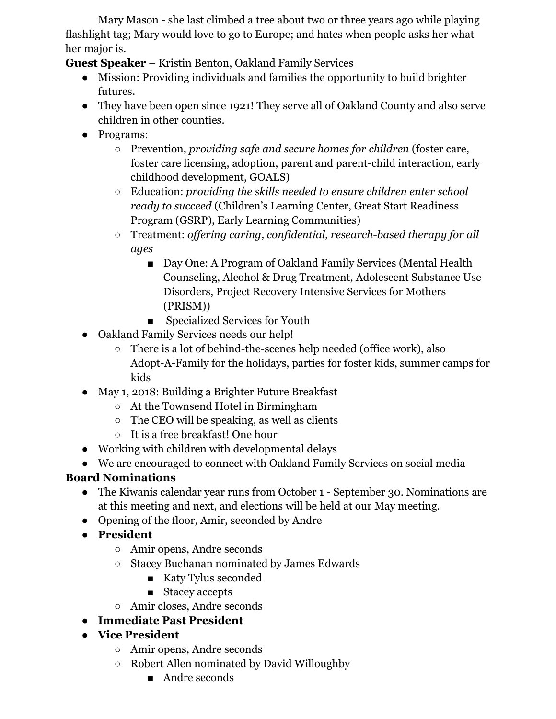Mary Mason - she last climbed a tree about two or three years ago while playing flashlight tag; Mary would love to go to Europe; and hates when people asks her what her major is.

**Guest Speaker** – Kristin Benton, Oakland Family Services

- Mission: Providing individuals and families the opportunity to build brighter futures.
- They have been open since 1921! They serve all of Oakland County and also serve children in other counties.
- Programs:
	- Prevention, *providing safe and secure homes for children* (foster care, foster care licensing, adoption, parent and parent-child interaction, early childhood development, GOALS)
	- Education: *providing the skills needed to ensure children enter school ready to succeed* (Children's Learning Center, Great Start Readiness Program (GSRP), Early Learning Communities)
	- Treatment: *offering caring, confidential, research-based therapy for all ages*
		- Day One: A Program of Oakland Family Services (Mental Health Counseling, Alcohol & Drug Treatment, Adolescent Substance Use Disorders, Project Recovery Intensive Services for Mothers (PRISM))
		- Specialized Services for Youth
- Oakland Family Services needs our help!
	- There is a lot of behind-the-scenes help needed (office work), also Adopt-A-Family for the holidays, parties for foster kids, summer camps for kids
- May 1, 2018: Building a Brighter Future Breakfast
	- At the Townsend Hotel in Birmingham
	- $\circ$  The CEO will be speaking, as well as clients
	- It is a free breakfast! One hour
- Working with children with developmental delays
- We are encouraged to connect with Oakland Family Services on social media

## **Board Nominations**

- The Kiwanis calendar year runs from October 1 September 30. Nominations are at this meeting and next, and elections will be held at our May meeting.
- Opening of the floor, Amir, seconded by Andre
- **● President**
	- Amir opens, Andre seconds
	- Stacey Buchanan nominated by James Edwards
		- Katy Tylus seconded
		- Stacey accepts
	- Amir closes, Andre seconds
- **● Immediate Past President**
- **● Vice President**
	- Amir opens, Andre seconds
	- Robert Allen nominated by David Willoughby
		- Andre seconds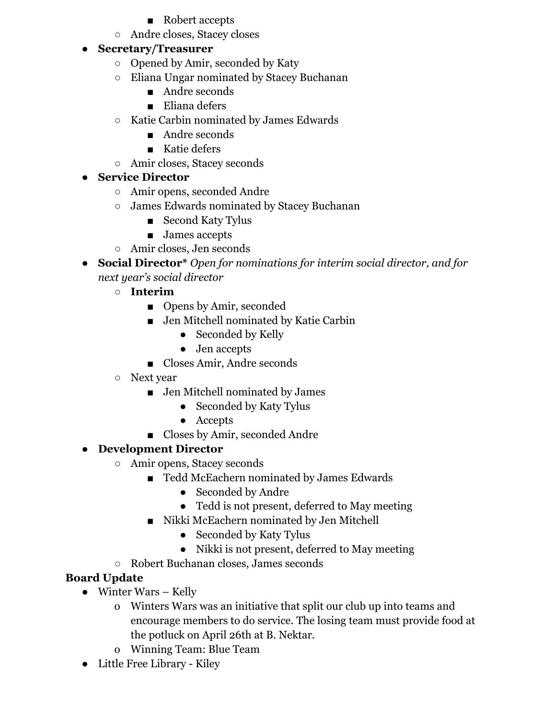- Robert accepts
- Andre closes, Stacey closes

#### **● Secretary/Treasurer**

- Opened by Amir, seconded by Katy
- Eliana Ungar nominated by Stacey Buchanan
	- Andre seconds
	- Eliana defers
- Katie Carbin nominated by James Edwards
	- Andre seconds
	- Katie defers
- Amir closes, Stacey seconds

### **● Service Director**

- Amir opens, seconded Andre
- James Edwards nominated by Stacey Buchanan
	- Second Katy Tylus
	- James accepts
- Amir closes, Jen seconds
- **● Social Director\*** *Open for nominations for interim social director, and for next year's social director*
	- **○ Interim**
		- Opens by Amir, seconded
		- Jen Mitchell nominated by Katie Carbin
			- Seconded by Kelly
			- Jen accepts
		- Closes Amir, Andre seconds
	- Next year
		- Jen Mitchell nominated by James
			- Seconded by Katy Tylus
			- Accepts
		- Closes by Amir, seconded Andre

## **● Development Director**

- Amir opens, Stacey seconds
	- Tedd McEachern nominated by James Edwards
		- Seconded by Andre
		- Tedd is not present, deferred to May meeting
	- Nikki McEachern nominated by Jen Mitchell
		- Seconded by Katy Tylus
		- Nikki is not present, deferred to May meeting
- Robert Buchanan closes, James seconds

#### **Board Update**

- Winter Wars Kelly
	- o Winters Wars was an initiative that split our club up into teams and encourage members to do service. The losing team must provide food at the potluck on April 26th at B. Nektar.
	- o Winning Team: Blue Team
- Little Free Library Kiley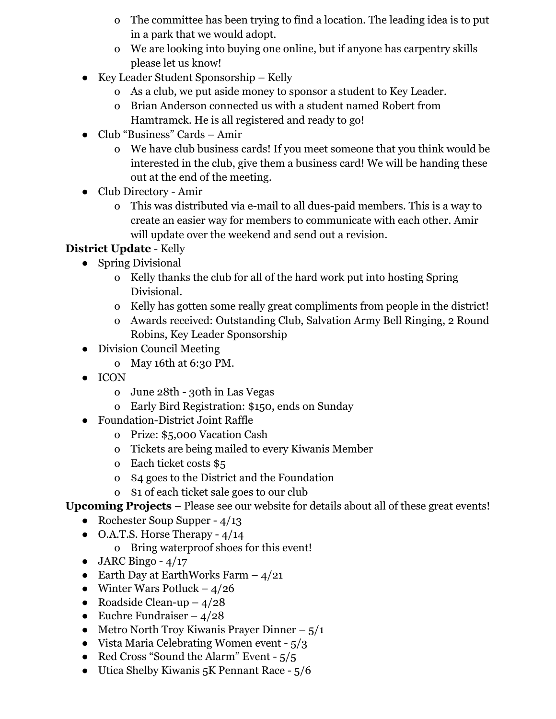- o The committee has been trying to find a location. The leading idea is to put in a park that we would adopt.
- o We are looking into buying one online, but if anyone has carpentry skills please let us know!
- Key Leader Student Sponsorship Kelly
	- o As a club, we put aside money to sponsor a student to Key Leader.
	- o Brian Anderson connected us with a student named Robert from Hamtramck. He is all registered and ready to go!
- Club "Business" Cards Amir
	- o We have club business cards! If you meet someone that you think would be interested in the club, give them a business card! We will be handing these out at the end of the meeting.
- Club Directory Amir
	- o This was distributed via e-mail to all dues-paid members. This is a way to create an easier way for members to communicate with each other. Amir will update over the weekend and send out a revision.

## **District Update** - Kelly

- Spring Divisional
	- o Kelly thanks the club for all of the hard work put into hosting Spring Divisional.
	- o Kelly has gotten some really great compliments from people in the district!
	- o Awards received: Outstanding Club, Salvation Army Bell Ringing, 2 Round Robins, Key Leader Sponsorship
- Division Council Meeting
	- o May 16th at 6:30 PM.
- ICON
	- o June 28th 30th in Las Vegas
	- o Early Bird Registration: \$150, ends on Sunday
- Foundation-District Joint Raffle
	- o Prize: \$5,000 Vacation Cash
	- o Tickets are being mailed to every Kiwanis Member
	- o Each ticket costs \$5
	- o \$4 goes to the District and the Foundation
	- o \$1 of each ticket sale goes to our club

#### **Upcoming Projects** – Please see our website for details about all of these great events!

- Rochester Soup Supper  $4/13$
- $\bullet$  O.A.T.S. Horse Therapy 4/14
	- o Bring waterproof shoes for this event!
- $\bullet$  JARC Bingo 4/17
- Earth Day at EarthWorks Farm  $-4/21$
- Winter Wars Potluck  $4/26$
- Roadside Clean-up  $-4/28$
- Euchre Fundraiser  $4/28$
- Metro North Troy Kiwanis Prayer Dinner  $5/1$
- Vista Maria Celebrating Women event  $5/3$
- Red Cross "Sound the Alarm" Event  $-5/5$
- Utica Shelby Kiwanis 5K Pennant Race 5/6